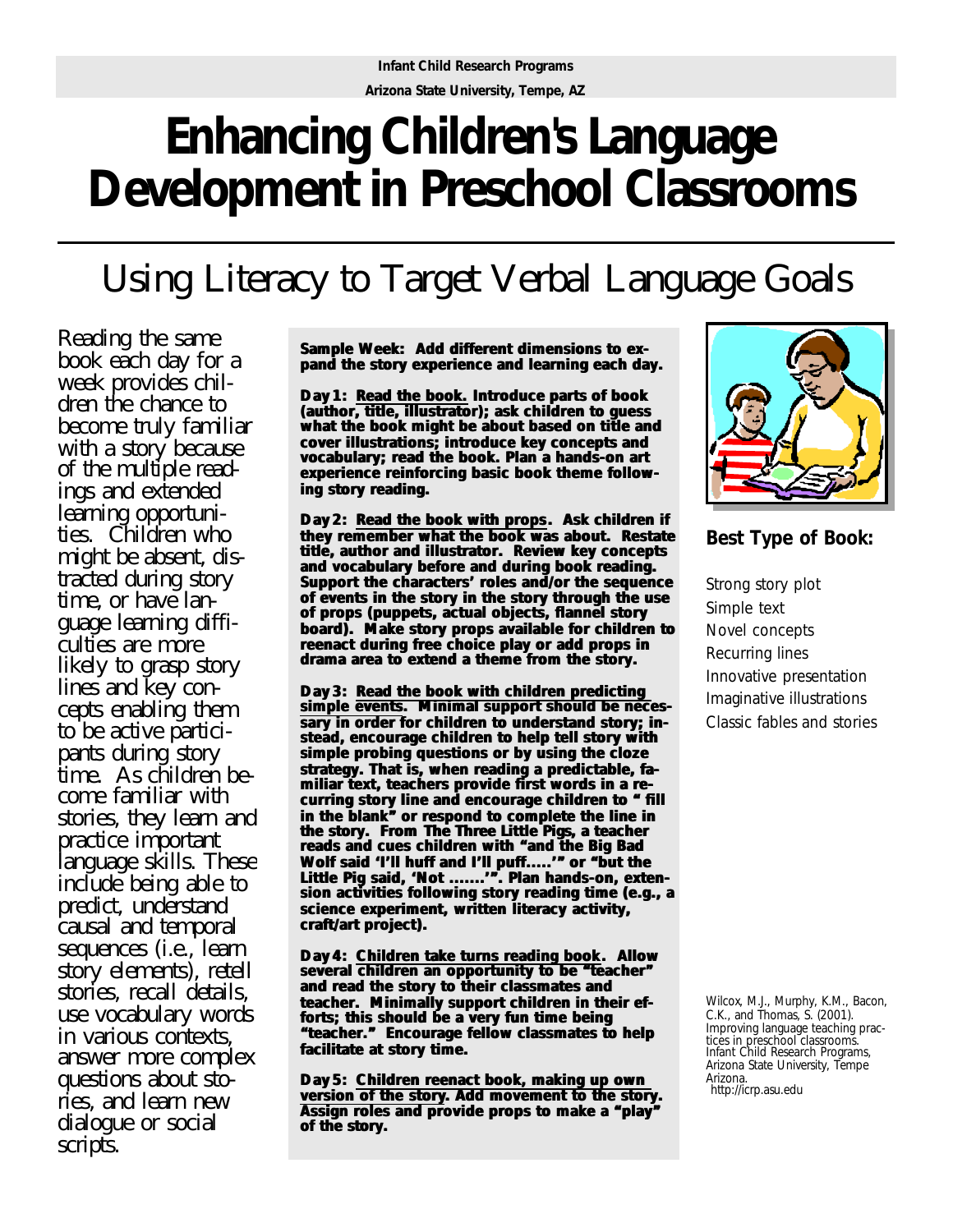## **Enhancing Children's Language Development in Preschool Classrooms**

### Using Literacy to Target Verbal Language Goals

Reading the same book each day for a week provides children the chance to become truly familiar with a story because of the multiple readings and extended learning opportunities. Children who might be absent, distracted during story time, or have language learning difficulties are more likely to grasp story lines and key concepts enabling them to be active participants during story time. As children become familiar with stories, they learn and practice important language skills. These include being able to predict, understand causal and temporal sequences (i.e., learn story elements), retell stories, recall details, use vocabulary words in various contexts, answer more complex questions about stories, and learn new dialogue or social scripts.

**Sample Week: Add different dimensions to expand the story experience and learning each day.**

**Day 1: Read the book. Introduce parts of book (author, title, illustrator); ask children to guess what the book might be about based on title and cover illustrations; introduce key concepts and vocabulary; read the book. Plan a hands-on art experience reinforcing basic book theme following story reading.**

**Day 2: Read the book with props . Ask children if they remember what the book was about. Restate title, author and illustrator. Review key concepts and vocabulary before and during book reading. Support the characters' roles and/or the sequence of events in the story in the story through the use of props (puppets, actual objects, flannel story board). Make story props available for children to reenact during free choice play or add props in drama area to extend a theme from the story.**

**Day 3: Read the book with children predicting simple events. Minimal support should be necessary in order for children to understand story; instead, encourage children to help tell story with simple probing questions or by using the cloze strategy. That is, when reading a predictable, familiar text, teachers provide first words in a recurring story line and encourage children to " fill in the blank" or respond to complete the line in the story. From** *The Three Little Pigs***, a teacher reads and cues children with "and the Big Bad Wolf said 'I'll huff and I'll puff.....'" or "but the Little Pig said, 'Not .......'". Plan hands-on, extension activities following story reading time (e.g., a science experiment, written literacy activity, craft/art project).**

**Day 4: Children take turns reading book . Allow several children an opportunity to be "teacher" and read the story to their classmates and teacher. Minimally support children in their efforts; this should be a very fun time being "teacher." Encourage fellow classmates to help facilitate at story time.**

**Day 5: Children reenact book, making up own version of the story. Add movement to the story. Assign roles and provide props to make a "play" of the story.**



#### **Best Type of Book:**

Strong story plot Simple text Novel concepts Recurring lines Innovative presentation Imaginative illustrations Classic fables and stories

*Wilcox, M.J., Murphy, K.M., Bacon, C.K., and Thomas, S. (2001). Improving language teaching practices in preschool classrooms. Infant Child Research Programs, Arizona State University, Tempe Arizona. http://icrp.asu.edu*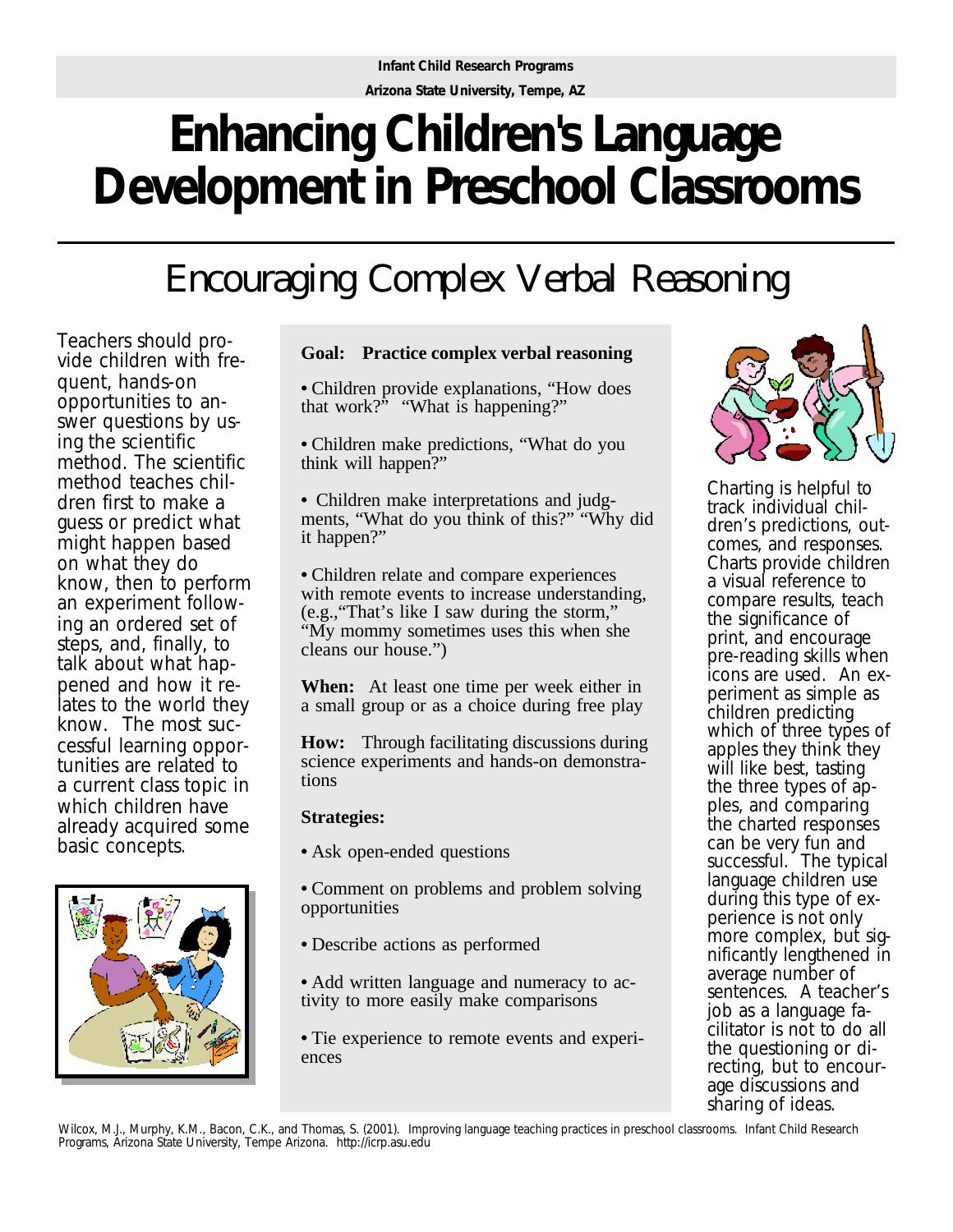# **Enhancing Children's Language Development in Preschool Classrooms**

### Encouraging Complex Verbal Reasoning

Teachers should provide children with frequent, hands-on opportunities to answer questions by using the scientific method. The scientific method teaches children first to make a guess or predict what might happen based on what they do know, then to perform an experiment following an ordered set of steps, and, finally, to talk about what happened and how it relates to the world they know. The most successful learning opportunities are related to a current class topic in which children have already acquired some basic concepts.



#### **Goal: Practice complex verbal reasoning**

**•** Children provide explanations, "How does that work?" "What is happening?"

**•** Children make predictions, "What do you think will happen?"

**•** Children make interpretations and judgments, "What do you think of this?" "Why did it happen?"

**•** Children relate and compare experiences with remote events to increase understanding, (e.g.,"That's like I saw during the storm," "My mommy sometimes uses this when she cleans our house.")

**When:** At least one time per week either in a small group or as a choice during free play

**How:** Through facilitating discussions during science experiments and hands-on demonstrations

#### **Strategies:**

- Ask open-ended questions
- Comment on problems and problem solving opportunities
- Describe actions as performed
- Add written language and numeracy to activity to more easily make comparisons
- Tie experience to remote events and experiences



Charting is helpful to track individual children's predictions, outcomes, and responses. Charts provide children a visual reference to compare results, teach the significance of print, and encourage pre-reading skills when icons are used. An experiment as simple as children predicting which of three types of apples they think they will like best, tasting the three types of apples, and comparing the charted responses can be very fun and successful. The typical language children use during this type of experience is not only more complex, but significantly lengthened in average number of sentences. A teacher's job as a language facilitator is not to do all the questioning or directing, but to encourage discussions and sharing of ideas.

Wilcox, M.J., Murphy, K.M., Bacon, C.K., and Thomas, S. (2001). *Improving language teaching practices in preschool classrooms.* Infant Child Research Programs, Arizona State University, Tempe Arizona. http://icrp.asu.edu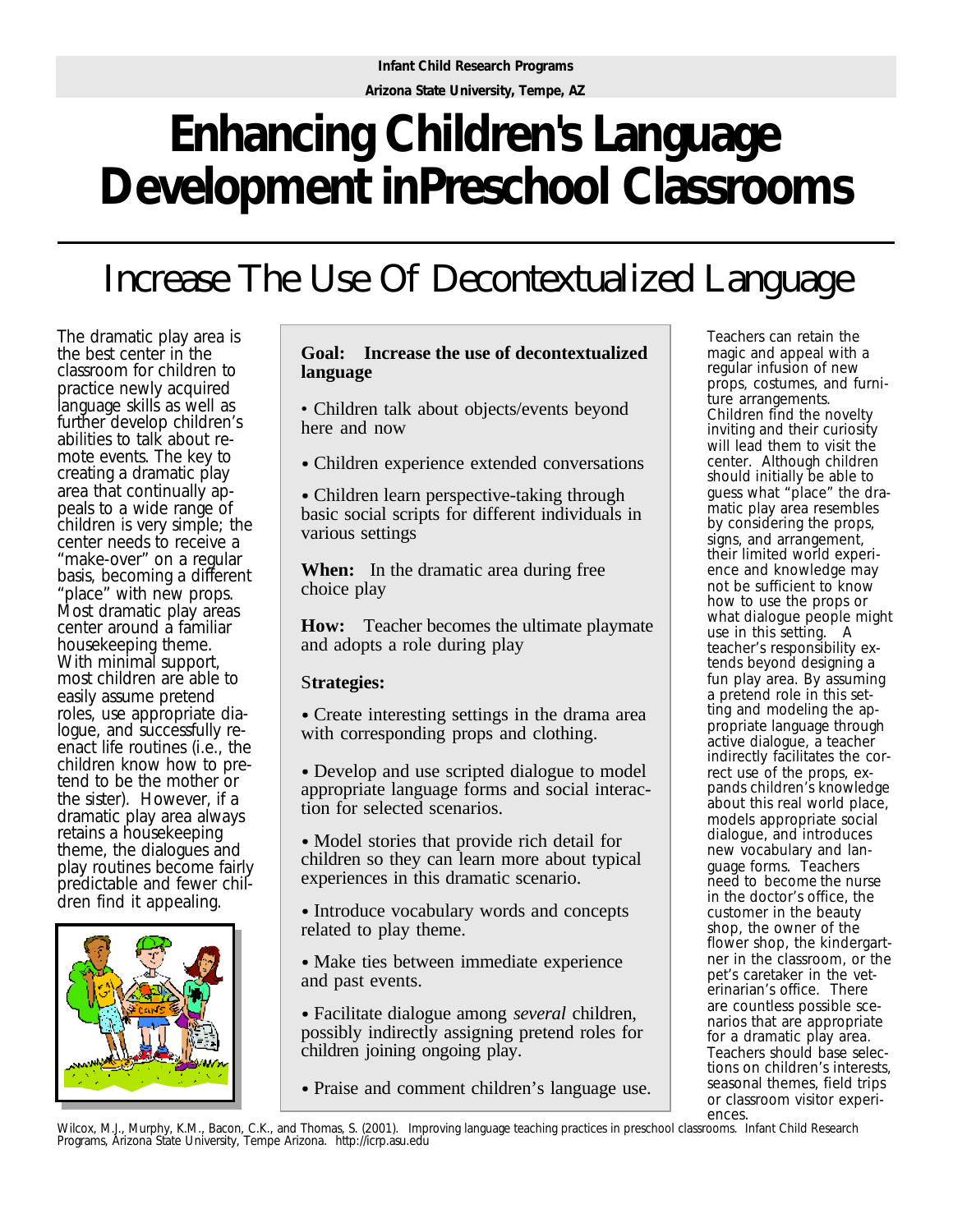## **Enhancing Children's Language Development inPreschool Classrooms**

### Increase The Use Of Decontextualized Language

The dramatic play area is the best center in the classroom for children to practice newly acquired language skills as well as further develop children's abilities to talk about remote events. The key to creating a dramatic play area that continually appeals to a wide range of children is very simple; the center needs to receive a "make-over" on a regular basis, becoming a different "place" with new props. Most dramatic play areas center around a familiar housekeeping theme. With minimal support, most children are able to easily assume pretend roles, use appropriate dialogue, and successfully reenact life routines (i.e., the children know how to pretend to be the mother or the sister). However, if a dramatic play area always retains a housekeeping theme, the dialogues and play routines become fairly predictable and fewer children find it appealing.



#### **Goal: Increase the use of decontextualized language**

• Children talk about objects/events beyond here and now

**•** Children experience extended conversations

**•** Children learn perspective-taking through basic social scripts for different individuals in various settings

**When:** In the dramatic area during free choice play

**How:** Teacher becomes the ultimate playmate and adopts a role during play

#### S**trategies:**

**•** Create interesting settings in the drama area with corresponding props and clothing.

**•** Develop and use scripted dialogue to model appropriate language forms and social interaction for selected scenarios.

**•** Model stories that provide rich detail for children so they can learn more about typical experiences in this dramatic scenario.

- Introduce vocabulary words and concepts related to play theme.
- Make ties between immediate experience and past events.
- Facilitate dialogue among *several* children, possibly indirectly assigning pretend roles for children joining ongoing play.
- Praise and comment children's language use.

Teachers can retain the magic and appeal with a regular infusion of new props, costumes, and furniture arrangements. Children find the novelty inviting and their curiosity will lead them to visit the center. Although children should initially be able to guess what "place" the dramatic play area resembles by considering the props, signs, and arrangement, their limited world experience and knowledge may not be sufficient to know how to use the props or what dialogue people might use in this setting. A teacher's responsibility extends beyond designing a fun play area. By assuming a pretend role in this setting and modeling the appropriate language through active dialogue, a teacher indirectly facilitates the correct use of the props, expands children's knowledge about this real world place, models appropriate social dialogue, and introduces new vocabulary and language forms. Teachers need to *become* the nurse in the doctor's office, the customer in the beauty shop, the owner of the flower shop, the kindergartner in the classroom, or the pet's caretaker in the veterinarian's office. There are countless possible scenarios that are appropriate for a dramatic play area. Teachers should base selections on children's interests, seasonal themes, field trips or classroom visitor experiences.

Wilcox, M.J., Murphy, K.M., Bacon, C.K., and Thomas, S. (2001). *Improving language teaching practices in preschool classrooms.* Infant Child Research Programs, Arizona State University, Tempe Arizona. http://icrp.asu.edu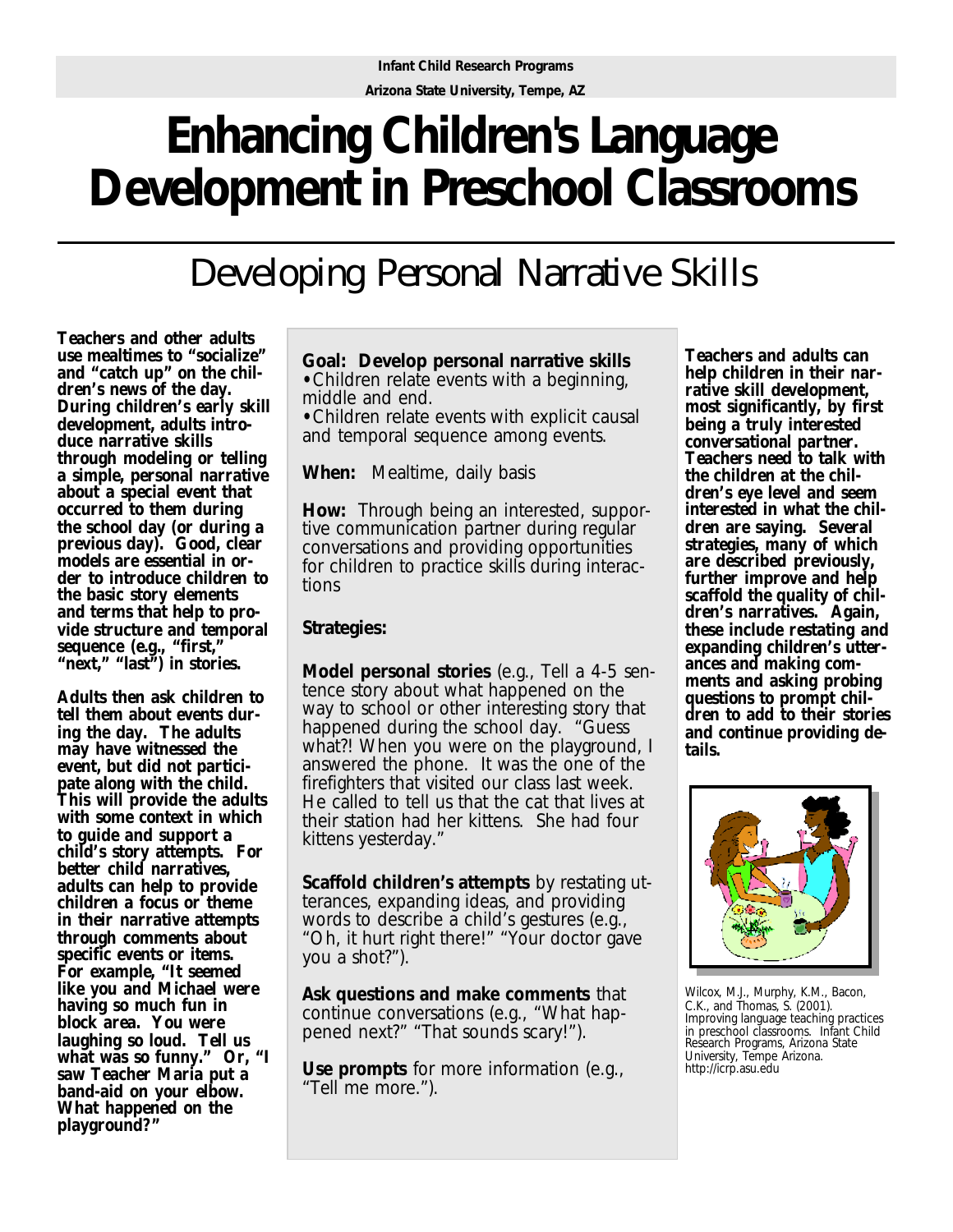## **Enhancing Children's Language Development in Preschool Classrooms**

### Developing Personal Narrative Skills

**Teachers and other adults use mealtimes to "socialize" and "catch up" on the children's news of the day. During children's early skill development, adults introduce narrative skills through modeling or telling a simple, personal narrative about a special event that occurred to them during the school day (or during a previous day). Good, clear models are essential in order to introduce children to the basic story elements and terms that help to provide structure and temporal sequence (e.g., "first," "next," "last") in stories.**

**Adults then ask children to tell them about events during the day. The adults may have witnessed the event, but did not participate along with the child. This will provide the adults with some context in which to guide and support a child's story attempts. For better child narratives, adults can help to provide children a focus or theme in their narrative attempts through comments about specific events or items. For example, "It seemed like you and Michael were having so much fun in block area. You were laughing so loud. Tell us what was so funny." Or, "I saw Teacher Maria put a band-aid on your elbow. What happened on the playground?"** 

**Goal:****Develop personal narrative skills** *•*Children relate events with a beginning, middle and end.

*•*Children relate events with explicit causal and temporal sequence among events.

**When:** Mealtime, daily basis

**How:** Through being an interested, supportive communication partner during regular conversations and providing opportunities for children to practice skills during interactions

#### **Strategies:**

*Model personal stories* (e.g., Tell a 4-5 sentence story about what happened on the way to school or other interesting story that happened during the school day. "Guess" what?! When you were on the playground, I answered the phone. It was the one of the firefighters that visited our class last week. He called to tell us that the cat that lives at their station had her kittens. She had four kittens yesterday."

*Scaffold children's attempts* by restating utterances, expanding ideas, and providing words to describe a child's gestures (e.g., "Oh, it hurt right there!" "Your doctor gave you a shot?").

*Ask questions and make comments* that continue conversations (e.g., "What happened next?" "That sounds scary!").

*Use prompts* for more information (e.g., "Tell me more.").

**Teachers and adults can help children in their narrative skill development, most significantly, by first being a truly interested conversational partner. Teachers need to talk with the children at the children's eye level and seem interested in what the children are saying. Several strategies, many of which are described previously, further improve and help scaffold the quality of children's narratives. Again, these include restating and expanding children's utterances and making comments and asking probing questions to prompt children to add to their stories and continue providing details.** 



*Wilcox, M.J., Murphy, K.M., Bacon, C.K., and Thomas, S. (2001). Improving language teaching practices in preschool classrooms. Infant Child Research Programs, Arizona State University, Tempe Arizona. http://icrp.asu.edu*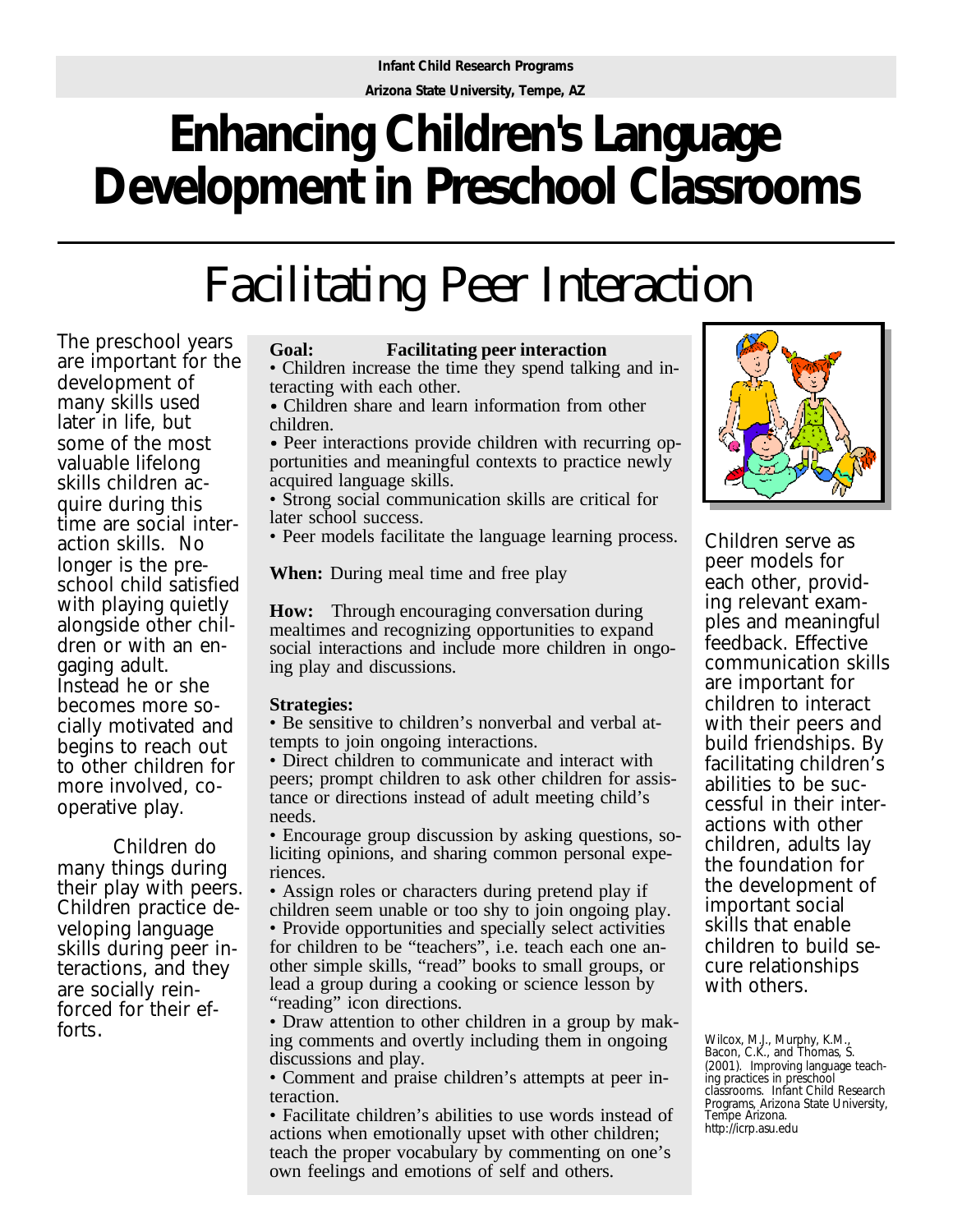## **Enhancing Children's Language Development in Preschool Classrooms**

### Facilitating Peer Interaction

The preschool years are important for the development of many skills used later in life, but some of the most valuable lifelong skills children acquire during this time are social interaction skills. No longer is the preschool child satisfied with playing quietly alongside other children or with an engaging adult. Instead he or she becomes more socially motivated and begins to reach out to other children for more involved, cooperative play.

 Children do many things during their play with peers. Children practice developing language skills during peer interactions, and they are socially reinforced for their efforts.

#### **Goal: Facilitating peer interaction**

• Children increase the time they spend talking and interacting with each other.

**•** Children share and learn information from other children.

**•** Peer interactions provide children with recurring opportunities and meaningful contexts to practice newly acquired language skills.

• Strong social communication skills are critical for later school success.

• Peer models facilitate the language learning process.

**When:** During meal time and free play

**How:** Through encouraging conversation during mealtimes and recognizing opportunities to expand social interactions and include more children in ongoing play and discussions.

#### **Strategies:**

• Be sensitive to children's nonverbal and verbal attempts to join ongoing interactions.

• Direct children to communicate and interact with peers; prompt children to ask other children for assistance or directions instead of adult meeting child's needs.

• Encourage group discussion by asking questions, soliciting opinions, and sharing common personal experiences.

• Assign roles or characters during pretend play if children seem unable or too shy to join ongoing play. • Provide opportunities and specially select activities for children to be "teachers", i.e. teach each one another simple skills, "read" books to small groups, or lead a group during a cooking or science lesson by "reading" icon directions.

• Draw attention to other children in a group by making comments and overtly including them in ongoing discussions and play.

• Comment and praise children's attempts at peer interaction.

• Facilitate children's abilities to use words instead of actions when emotionally upset with other children; teach the proper vocabulary by commenting on one's own feelings and emotions of self and others.



Children serve as peer models for each other, providing relevant examples and meaningful feedback. Effective communication skills are important for children to interact with their peers and build friendships. By facilitating children's abilities to be successful in their interactions with other children, adults lay the foundation for the development of important social skills that enable children to build secure relationships with others.

Wilcox, M.J., Murphy, K.M., Bacon, C.K., and Thomas, S. (2001). *Improving language teaching practices in preschool classrooms.* Infant Child Research Programs, Arizona State University, Tempe Arizona. http://icrp.asu.edu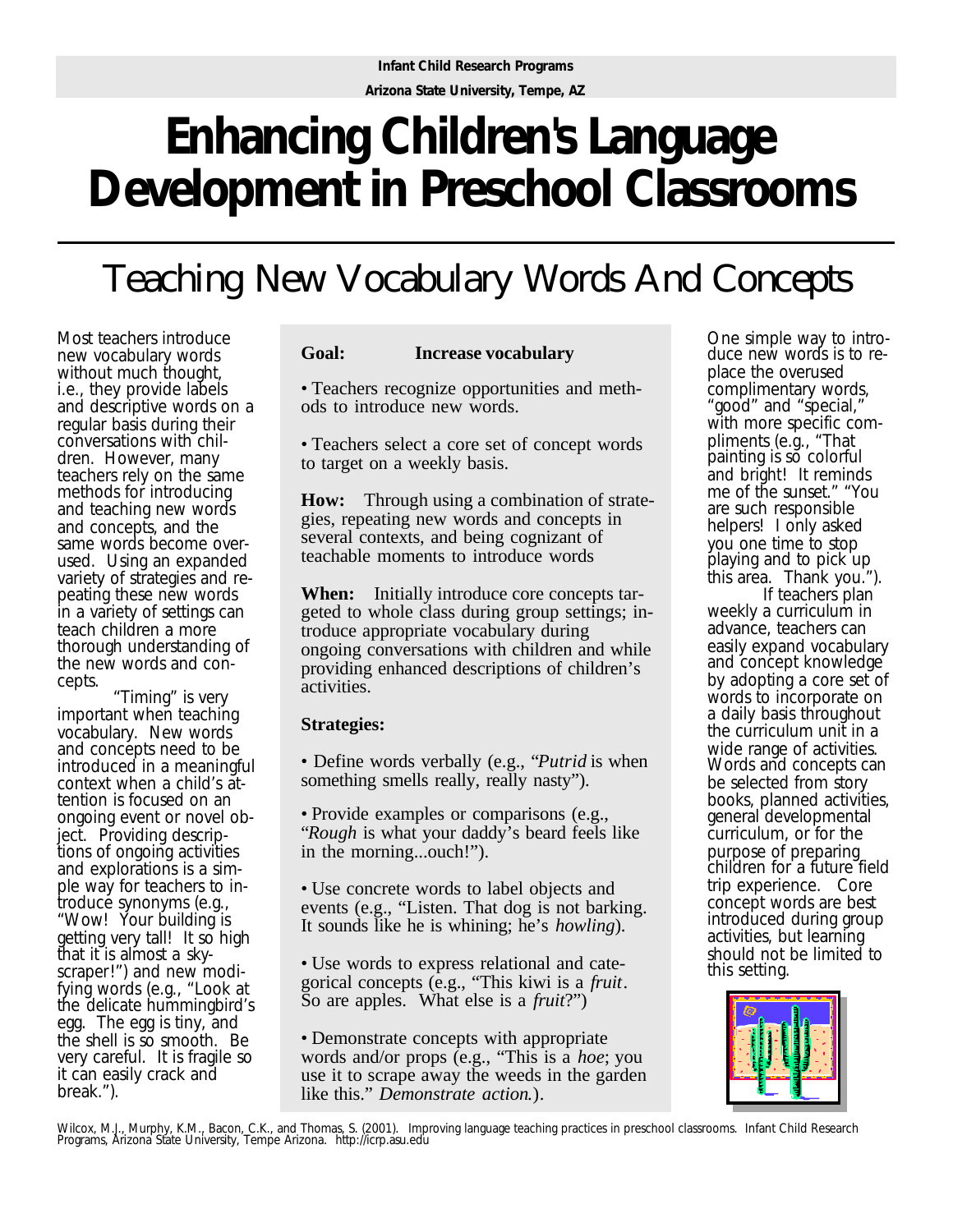# **Enhancing Children's Language Development in Preschool Classrooms**

### Teaching New Vocabulary Words And Concepts

Most teachers introduce new vocabulary words without much thought, i.e., they provide labels and descriptive words on a regular basis during their conversations with children. However, many teachers rely on the same methods for introducing and teaching new words and concepts, and the same words become overused. Using an expanded variety of strategies and repeating these new words in a variety of settings can teach children a more thorough understanding of the new words and concepts.

 "Timing" is very important when teaching vocabulary. New words and concepts need to be introduced in a meaningful context when a child's attention is focused on an ongoing event or novel object. Providing descriptions of ongoing activities and explorations is a simple way for teachers to introduce synonyms (e.g., "Wow! Your building is getting very tall! It so high that it is almost a *skyscraper*!") and new modifying words (e.g., "Look at the *delicate* hummingbird's egg. The egg is tiny, and the shell is so smooth. Be very careful. It is fragile so it can easily crack and break.").

#### **Goal: Increase vocabulary**

• Teachers recognize opportunities and methods to introduce new words.

• Teachers select a core set of concept words to target on a weekly basis.

**How:** Through using a combination of strategies, repeating new words and concepts in several contexts, and being cognizant of teachable moments to introduce words

**When:** Initially introduce core concepts targeted to whole class during group settings; introduce appropriate vocabulary during ongoing conversations with children and while providing enhanced descriptions of children's activities.

#### **Strategies:**

• Define words verbally (e.g., "*Putrid* is when something smells really, really nasty").

• Provide examples or comparisons (e.g., "*Rough* is what your daddy's beard feels like in the morning...ouch!").

• Use concrete words to label objects and events (e.g., "Listen. That dog is not barking. It sounds like he is whining; he's *howling*).

• Use words to express relational and categorical concepts (e.g., "This kiwi is a *fruit*. So are apples. What else is a *fruit*?")

• Demonstrate concepts with appropriate words and/or props (e.g., "This is a *hoe*; you use it to scrape away the weeds in the garden like this." *Demonstrate action*.).

One simple way to introduce new words is to replace the overused complimentary words, "good" and "special," with more specific compliments (e.g., "That painting is so *colorful and bright*! It reminds me of the sunset." "You are such *responsible* helpers! I only asked you one time to stop playing and to pick up this area. Thank you."). If teachers plan weekly a curriculum in advance, teachers can easily expand vocabulary and concept knowledge by adopting a core set of words to incorporate on a daily basis throughout the curriculum unit in a wide range of activities. Words and concepts can be selected from story books, planned activities, general developmental curriculum, or for the purpose of preparing children for a future field trip experience. Core concept words are best introduced during group activities, but learning should not be limited to this setting.



Wilcox, M.J., Murphy, K.M., Bacon, C.K., and Thomas, S. (2001). *Improving language teaching practices in preschool classrooms.* Infant Child Research<br>Programs, Arizona State University, Tempe Arizona. http://icrp.asu.edu